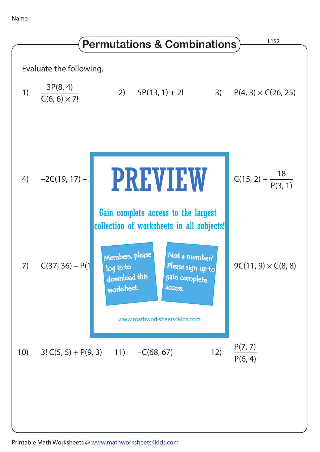Name :